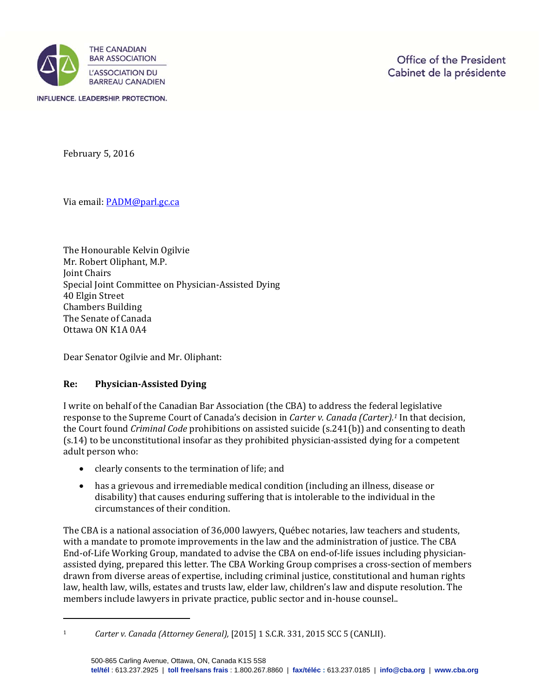

February 5, 2016

Via email: PADM@parl.gc.ca

The Honourable Kelvin Ogilvie Mr. Robert Oliphant, M.P. **Joint Chairs** Special Joint Committee on Physician-Assisted Dying 40 Elgin Street Chambers Building The Senate of Canada Ottawa ON K1A 0A4

Dear Senator Ogilvie and Mr. Oliphant:

## **Re: Physician‐Assisted Dying**

I write on behalf of the Canadian Bar Association (the CBA) to address the federal legislative response to the Supreme Court of Canada's decision in *Carter v. Canada (Carter).<sup>1</sup>* In that decision, the Court found *Criminal Code* prohibitions on assisted suicide (s.241(b)) and consenting to death (s.14) to be unconstitutional insofar as they prohibited physician-assisted dying for a competent adult person who:

- clearly consents to the termination of life; and
- has a grievous and irremediable medical condition (including an illness, disease or disability) that causes enduring suffering that is intolerable to the individual in the circumstances of their condition.

The CBA is a national association of 36,000 lawyers, Québec notaries, law teachers and students, with a mandate to promote improvements in the law and the administration of justice. The CBA End-of-Life Working Group, mandated to advise the CBA on end-of-life issues including physicianassisted dying, prepared this letter. The CBA Working Group comprises a cross-section of members drawn from diverse areas of expertise, including criminal justice, constitutional and human rights law, health law, wills, estates and trusts law, elder law, children's law and dispute resolution. The members include lawyers in private practice, public sector and in-house counsel..

<sup>1</sup> *Carter v. Canada (Attorney General),* [2015] 1 S.C.R. 331, 2015 SCC 5 (CANLII).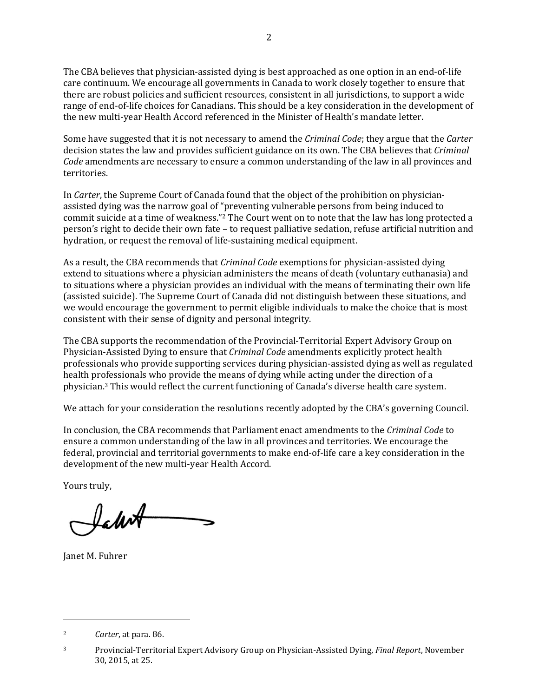The CBA believes that physician-assisted dying is best approached as one option in an end-of-life care continuum. We encourage all governments in Canada to work closely together to ensure that there are robust policies and sufficient resources, consistent in all jurisdictions, to support a wide range of end-of-life choices for Canadians. This should be a key consideration in the development of the new multi-year Health Accord referenced in the Minister of Health's mandate letter.

Some have suggested that it is not necessary to amend the *Criminal Code*; they argue that the *Carter* decision states the law and provides sufficient guidance on its own. The CBA believes that *Criminal Code* amendments are necessary to ensure a common understanding of the law in all provinces and territories. 

In *Carter*, the Supreme Court of Canada found that the object of the prohibition on physicianassisted dying was the narrow goal of "preventing vulnerable persons from being induced to commit suicide at a time of weakness."<sup>2</sup> The Court went on to note that the law has long protected a person's right to decide their own fate – to request palliative sedation, refuse artificial nutrition and hydration, or request the removal of life-sustaining medical equipment.

As a result, the CBA recommends that *Criminal Code* exemptions for physician-assisted dying extend to situations where a physician administers the means of death (voluntary euthanasia) and to situations where a physician provides an individual with the means of terminating their own life (assisted suicide). The Supreme Court of Canada did not distinguish between these situations, and we would encourage the government to permit eligible individuals to make the choice that is most consistent with their sense of dignity and personal integrity.

The CBA supports the recommendation of the Provincial-Territorial Expert Advisory Group on Physician-Assisted Dying to ensure that *Criminal Code* amendments explicitly protect health professionals who provide supporting services during physician-assisted dying as well as regulated health professionals who provide the means of dying while acting under the direction of a physician.<sup>3</sup> This would reflect the current functioning of Canada's diverse health care system.

We attach for your consideration the resolutions recently adopted by the CBA's governing Council.

In conclusion, the CBA recommends that Parliament enact amendments to the *Criminal Code* to ensure a common understanding of the law in all provinces and territories. We encourage the federal, provincial and territorial governments to make end-of-life care a key consideration in the development of the new multi-year Health Accord.

Yours truly.

Ichot

Janet M. Fuhrer

<sup>&</sup>lt;sup>2</sup> *Carter*, at para. 86.

<sup>&</sup>lt;sup>3</sup> Provincial‐Territorial Expert Advisory Group on Physician‐Assisted Dying, *Final Report*, November 30, 2015, at 25.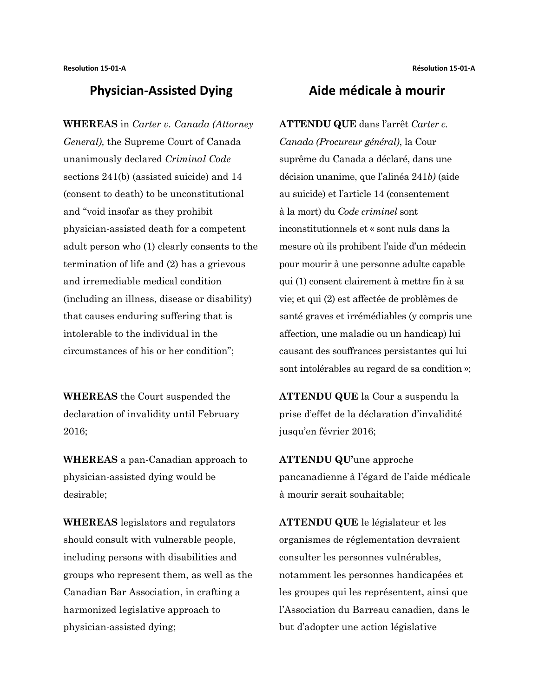## **Physician-Assisted Dying Aide médicale à mourir**

**WHEREAS** in *Carter v. Canada (Attorney General),* the Supreme Court of Canada unanimously declared *Criminal Code*  sections 241(b) (assisted suicide) and 14 (consent to death) to be unconstitutional and "void insofar as they prohibit physician-assisted death for a competent adult person who (1) clearly consents to the termination of life and (2) has a grievous and irremediable medical condition (including an illness, disease or disability) that causes enduring suffering that is intolerable to the individual in the circumstances of his or her condition";

**WHEREAS** the Court suspended the declaration of invalidity until February 2016;

**WHEREAS** a pan-Canadian approach to physician-assisted dying would be desirable;

**WHEREAS** legislators and regulators should consult with vulnerable people, including persons with disabilities and groups who represent them, as well as the Canadian Bar Association, in crafting a harmonized legislative approach to physician-assisted dying;

**ATTENDU QUE** dans l'arrêt *Carter c. Canada (Procureur général)*, la Cour suprême du Canada a déclaré, dans une décision unanime, que l'alinéa 241*b)* (aide au suicide) et l'article 14 (consentement à la mort) du *Code criminel* sont inconstitutionnels et « sont nuls dans la mesure où ils prohibent l'aide d'un médecin pour mourir à une personne adulte capable qui (1) consent clairement à mettre fin à sa vie; et qui (2) est affectée de problèmes de santé graves et irrémédiables (y compris une affection, une maladie ou un handicap) lui causant des souffrances persistantes qui lui sont intolérables au regard de sa condition »;

**ATTENDU QUE** la Cour a suspendu la prise d'effet de la déclaration d'invalidité jusqu'en février 2016;

**ATTENDU QU'**une approche pancanadienne à l'égard de l'aide médicale à mourir serait souhaitable;

**ATTENDU QUE** le législateur et les organismes de réglementation devraient consulter les personnes vulnérables, notamment les personnes handicapées et les groupes qui les représentent, ainsi que l'Association du Barreau canadien, dans le but d'adopter une action législative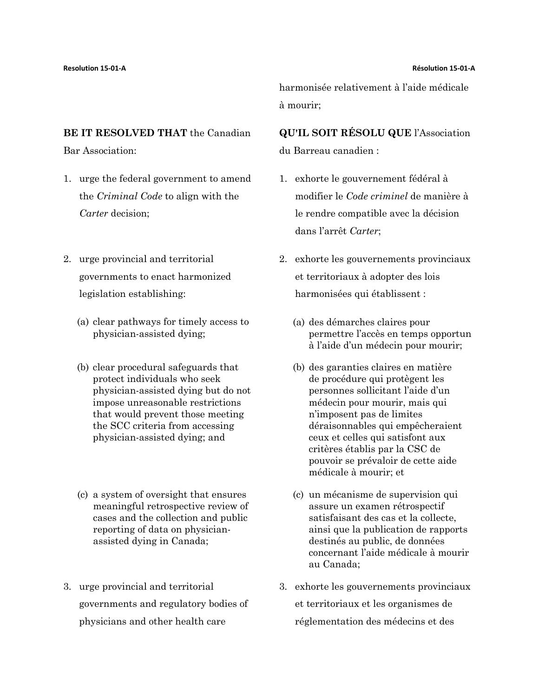### **BE IT RESOLVED THAT** the Canadian

Bar Association:

- 1. urge the federal government to amend the *Criminal Code* to align with the *Carter* decision;
- 2. urge provincial and territorial governments to enact harmonized legislation establishing:
	- (a) clear pathways for timely access to physician-assisted dying;
	- (b) clear procedural safeguards that protect individuals who seek physician-assisted dying but do not impose unreasonable restrictions that would prevent those meeting the SCC criteria from accessing physician-assisted dying; and
	- (c) a system of oversight that ensures meaningful retrospective review of cases and the collection and public reporting of data on physicianassisted dying in Canada;
- 3. urge provincial and territorial governments and regulatory bodies of physicians and other health care

harmonisée relativement à l'aide médicale à mourir;

**QU'IL SOIT RÉSOLU QUE** l'Association du Barreau canadien :

- 1. exhorte le gouvernement fédéral à modifier le *Code criminel* de manière à le rendre compatible avec la décision dans l'arrêt *Carter*;
- 2. exhorte les gouvernements provinciaux et territoriaux à adopter des lois harmonisées qui établissent :
	- (a) des démarches claires pour permettre l'accès en temps opportun à l'aide d'un médecin pour mourir;
	- (b) des garanties claires en matière de procédure qui protègent les personnes sollicitant l'aide d'un médecin pour mourir, mais qui n'imposent pas de limites déraisonnables qui empêcheraient ceux et celles qui satisfont aux critères établis par la CSC de pouvoir se prévaloir de cette aide médicale à mourir; et
	- (c) un mécanisme de supervision qui assure un examen rétrospectif satisfaisant des cas et la collecte, ainsi que la publication de rapports destinés au public, de données concernant l'aide médicale à mourir au Canada;
- 3. exhorte les gouvernements provinciaux et territoriaux et les organismes de réglementation des médecins et des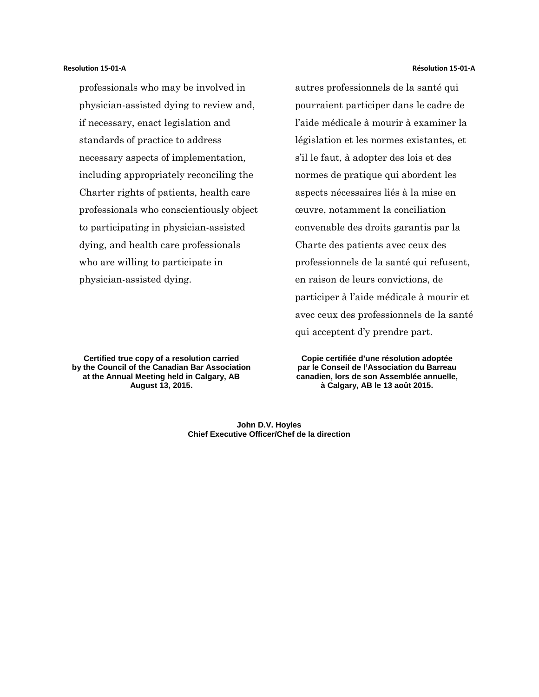professionals who may be involved in physician-assisted dying to review and, if necessary, enact legislation and standards of practice to address necessary aspects of implementation, including appropriately reconciling the Charter rights of patients, health care professionals who conscientiously object to participating in physician-assisted dying, and health care professionals who are willing to participate in physician-assisted dying.

**Certified true copy of a resolution carried by the Council of the Canadian Bar Association at the Annual Meeting held in Calgary, AB August 13, 2015.**

autres professionnels de la santé qui pourraient participer dans le cadre de l'aide médicale à mourir à examiner la législation et les normes existantes, et s'il le faut, à adopter des lois et des normes de pratique qui abordent les aspects nécessaires liés à la mise en œuvre, notamment la conciliation convenable des droits garantis par la Charte des patients avec ceux des professionnels de la santé qui refusent, en raison de leurs convictions, de participer à l'aide médicale à mourir et avec ceux des professionnels de la santé qui acceptent d'y prendre part.

**Copie certifiée d'une résolution adoptée par le Conseil de l'Association du Barreau canadien, lors de son Assemblée annuelle, à Calgary, AB le 13 août 2015.**

**John D.V. Hoyles Chief Executive Officer/Chef de la direction**

### **Resolution 15-01-A Résolution 15-01-A**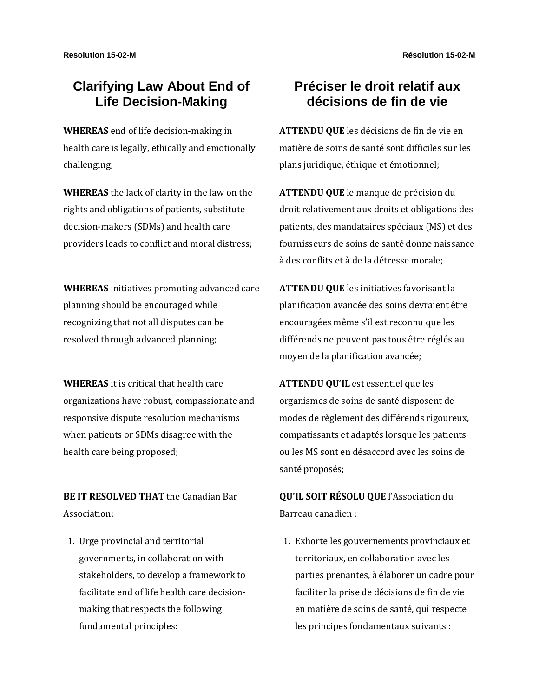# **Clarifying Law About End of Life Decision-Making**

**WHEREAS** end of life decision-making in health care is legally, ethically and emotionally challenging;

**WHEREAS** the lack of clarity in the law on the rights and obligations of patients, substitute decision-makers (SDMs) and health care providers leads to conflict and moral distress;

**WHEREAS** initiatives promoting advanced care planning should be encouraged while recognizing that not all disputes can be resolved through advanced planning;

**WHEREAS** it is critical that health care organizations have robust, compassionate and responsive dispute resolution mechanisms when patients or SDMs disagree with the health care being proposed;

**BE IT RESOLVED THAT** the Canadian Bar Association:

1. Urge provincial and territorial governments, in collaboration with stakeholders, to develop a framework to facilitate end of life health care decisionmaking that respects the following fundamental principles:

# **Préciser le droit relatif aux décisions de fin de vie**

**ATTENDU QUE** les décisions de fin de vie en matière de soins de santé sont difficiles sur les plans juridique, éthique et émotionnel;

**ATTENDU QUE** le manque de précision du droit relativement aux droits et obligations des patients, des mandataires spéciaux (MS) et des fournisseurs de soins de santé donne naissance à des conflits et à de la détresse morale;

**ATTENDU QUE** les initiatives favorisant la planification avancée des soins devraient être encouragées même s'il est reconnu que les différends ne peuvent pas tous être réglés au moyen de la planification avancée;

**ATTENDU QU'IL** est essentiel que les organismes de soins de santé disposent de modes de règlement des différends rigoureux, compatissants et adaptés lorsque les patients ou les MS sont en désaccord avec les soins de santé proposés;

**QU'IL SOIT RÉSOLU QUE** l'Association du Barreau canadien :

1. Exhorte les gouvernements provinciaux et territoriaux, en collaboration avec les parties prenantes, à élaborer un cadre pour faciliter la prise de décisions de fin de vie en matière de soins de santé, qui respecte les principes fondamentaux suivants :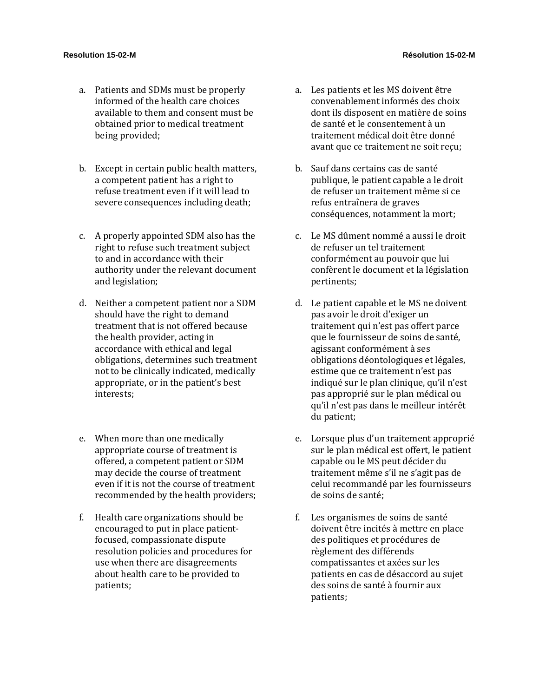- a. Patients and SDMs must be properly informed of the health care choices available to them and consent must be obtained prior to medical treatment being provided;
- b. Except in certain public health matters, a competent patient has a right to refuse treatment even if it will lead to severe consequences including death;
- c. A properly appointed SDM also has the right to refuse such treatment subject to and in accordance with their authority under the relevant document and legislation;
- d. Neither a competent patient nor a SDM should have the right to demand treatment that is not offered because the health provider, acting in accordance with ethical and legal obligations, determines such treatment not to be clinically indicated, medically appropriate, or in the patient's best interests;
- e. When more than one medically appropriate course of treatment is offered, a competent patient or SDM may decide the course of treatment even if it is not the course of treatment recommended by the health providers;
- f. Health care organizations should be encouraged to put in place patientfocused, compassionate dispute resolution policies and procedures for use when there are disagreements about health care to be provided to patients;
- a. Les patients et les MS doivent être convenablement informés des choix dont ils disposent en matière de soins de santé et le consentement à un traitement médical doit être donné avant que ce traitement ne soit reçu;
- b. Sauf dans certains cas de santé publique, le patient capable a le droit de refuser un traitement même si ce refus entraînera de graves conséquences, notamment la mort;
- c. Le MS dûment nommé a aussi le droit de refuser un tel traitement conformément au pouvoir que lui confèrent le document et la législation pertinents;
- d. Le patient capable et le MS ne doivent pas avoir le droit d'exiger un traitement qui n'est pas offert parce que le fournisseur de soins de santé, agissant conformément à ses obligations déontologiques et légales, estime que ce traitement n'est pas indiqué sur le plan clinique, qu'il n'est pas approprié sur le plan médical ou qu'il n'est pas dans le meilleur intérêt du patient;
- e. Lorsque plus d'un traitement approprié sur le plan médical est offert, le patient capable ou le MS peut décider du traitement même s'il ne s'agit pas de celui recommandé par les fournisseurs de soins de santé;
- f. Les organismes de soins de santé doivent être incités à mettre en place des politiques et procédures de règlement des différends compatissantes et axées sur les patients en cas de désaccord au sujet des soins de santé à fournir aux patients;